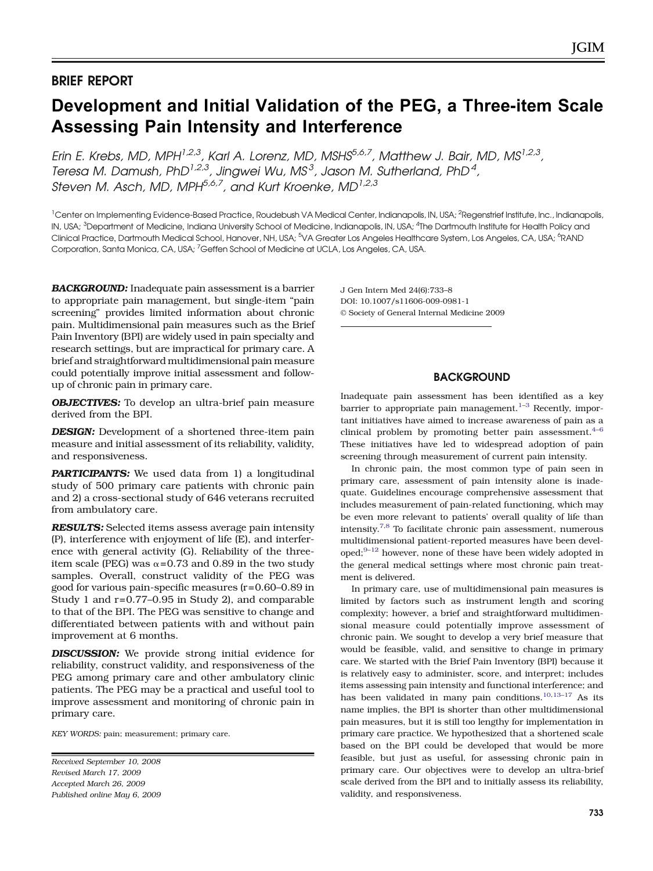# Development and Initial Validation of the PEG, a Three-item Scale Assessing Pain Intensity and Interference

Erin E. Krebs, MD, MPH<sup>1,2,3</sup>, Karl A. Lorenz, MD, MSHS<sup>5,6,7</sup>, Matthew J. Bair, MD, MS<sup>1,2,3</sup>, Teresa M. Damush, PhD<sup>1,2,3</sup>, Jingwei Wu, MS<sup>3</sup>, Jason M. Sutherland, PhD<sup>4</sup>, Steven M. Asch, MD, MPH $^{5,6,7}$ , and Kurt Kroenke, MD $^{1,2,3}$ 

<sup>1</sup>Center on Implementing Evidence-Based Practice, Roudebush VA Medical Center, Indianapolis, IN, USA; <sup>2</sup>Regenstrief Institute, Inc., Indianapolis, IN, USA; <sup>3</sup>Department of Medicine, Indiana University School of Medicine, Indianapolis, IN, USA; <sup>4</sup>The Dartmouth Institute for Health Policy and Clinical Practice, Dartmouth Medical School, Hanover, NH, USA; <sup>5</sup>VA Greater Los Angeles Healthcare System, Los Angeles, CA, USA; <sup>6</sup>RAND Corporation, Santa Monica, CA, USA; <sup>7</sup>Geffen School of Medicine at UCLA, Los Angeles, CA, USA.

BACKGROUND: Inadequate pain assessment is a barrier to appropriate pain management, but single-item "pain screening" provides limited information about chronic pain. Multidimensional pain measures such as the Brief Pain Inventory (BPI) are widely used in pain specialty and research settings, but are impractical for primary care. A brief and straightforward multidimensional pain measure could potentially improve initial assessment and followup of chronic pain in primary care.

**OBJECTIVES:** To develop an ultra-brief pain measure derived from the BPI.

**DESIGN:** Development of a shortened three-item pain measure and initial assessment of its reliability, validity, and responsiveness.

PARTICIPANTS: We used data from 1) a longitudinal study of 500 primary care patients with chronic pain and 2) a cross-sectional study of 646 veterans recruited from ambulatory care.

**RESULTS:** Selected items assess average pain intensity (P), interference with enjoyment of life (E), and interference with general activity (G). Reliability of the threeitem scale (PEG) was  $\alpha$ =0.73 and 0.89 in the two study samples. Overall, construct validity of the PEG was good for various pain-specific measures (r=0.60–0.89 in Study 1 and r=0.77–0.95 in Study 2), and comparable to that of the BPI. The PEG was sensitive to change and differentiated between patients with and without pain improvement at 6 months.

DISCUSSION: We provide strong initial evidence for reliability, construct validity, and responsiveness of the PEG among primary care and other ambulatory clinic patients. The PEG may be a practical and useful tool to improve assessment and monitoring of chronic pain in primary care.

KEY WORDS: pain; measurement; primary care.

Received September 10, 2008 Revised March 17, 2009 Accepted March 26, 2009 Published online May 6, 2009 J Gen Intern Med 24(6):733–8 DOI: 10.1007/s11606-009-0981-1 © Society of General Internal Medicine 2009

# **BACKGROUND**

Inadequate pain assessment has been identified as a key barrier to appropriate pain management.<sup>[1](#page-4-0)-[3](#page-4-0)</sup> Recently, important initiatives have aimed to increase awareness of pain as a clinical problem by promoting better pain assessment. $4-6$  $4-6$  $4-6$ These initiatives have led to widespread adoption of pain screening through measurement of current pain intensity.

In chronic pain, the most common type of pain seen in primary care, assessment of pain intensity alone is inadequate. Guidelines encourage comprehensive assessment that includes measurement of pain-related functioning, which may be even more relevant to patients' overall quality of life than intensity.[7,8](#page-5-0) To facilitate chronic pain assessment, numerous multidimensional patient-reported measures have been devel- $oped; 9-12$  $oped; 9-12$  $oped; 9-12$  $oped; 9-12$  however, none of these have been widely adopted in the general medical settings where most chronic pain treatment is delivered.

In primary care, use of multidimensional pain measures is limited by factors such as instrument length and scoring complexity; however, a brief and straightforward multidimensional measure could potentially improve assessment of chronic pain. We sought to develop a very brief measure that would be feasible, valid, and sensitive to change in primary care. We started with the Brief Pain Inventory (BPI) because it is relatively easy to administer, score, and interpret; includes items assessing pain intensity and functional interference; and has been validated in many pain conditions.<sup>[10](#page-5-0),[13](#page-5-0)–[17](#page-5-0)</sup> As its name implies, the BPI is shorter than other multidimensional pain measures, but it is still too lengthy for implementation in primary care practice. We hypothesized that a shortened scale based on the BPI could be developed that would be more feasible, but just as useful, for assessing chronic pain in primary care. Our objectives were to develop an ultra-brief scale derived from the BPI and to initially assess its reliability, validity, and responsiveness.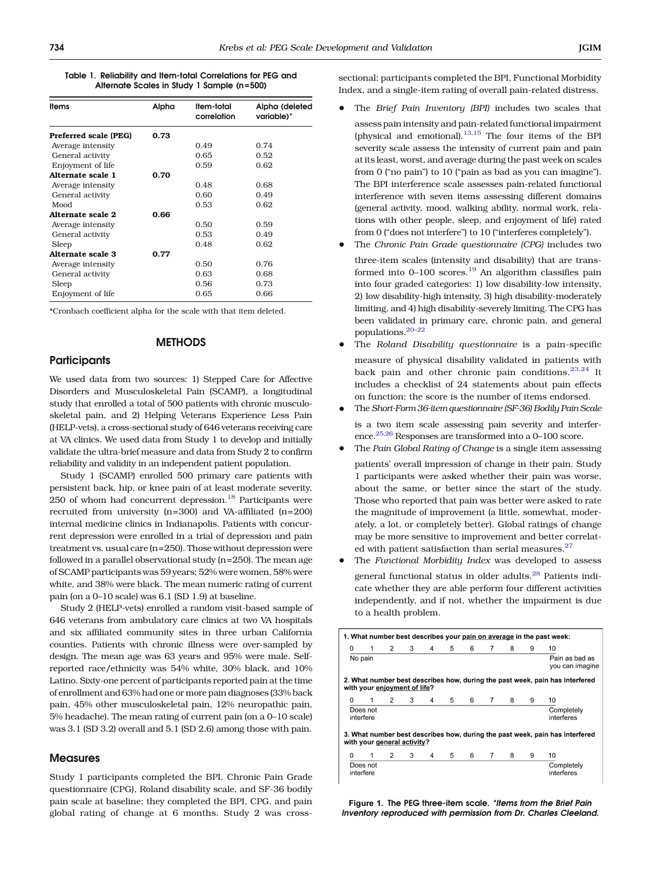<span id="page-1-0"></span>Table 1. Reliability and Item-total Correlations for PEG and Alternate Scales in Study 1 Sample (n=500)

| <b>Items</b>          | Alpha | Item-total<br>correlation | Alpha (deleted<br>variable)* |
|-----------------------|-------|---------------------------|------------------------------|
| Preferred scale (PEG) | 0.73  |                           |                              |
| Average intensity     |       | 0.49                      | 0.74                         |
| General activity      |       | 0.65                      | 0.52                         |
| Enjoyment of life     |       | 0.59                      | 0.62                         |
| Alternate scale 1     | 0.70  |                           |                              |
| Average intensity     |       | 0.48                      | 0.68                         |
| General activity      |       | 0.60                      | 0.49                         |
| Mood                  |       | 0.53                      | 0.62                         |
| Alternate scale 2     | 0.66  |                           |                              |
| Average intensity     |       | 0.50                      | 0.59                         |
| General activity      |       | 0.53                      | 0.49                         |
| Sleep                 |       | 0.48                      | 0.62                         |
| Alternate scale 3     | 0.77  |                           |                              |
| Average intensity     |       | 0.50                      | 0.76                         |
| General activity      |       | 0.63                      | 0.68                         |
| Sleep                 |       | 0.56                      | 0.73                         |
| Enjoyment of life     |       | 0.65                      | 0.66                         |

\*Cronbach coefficient alpha for the scale with that item deleted.

# **METHODS**

## **Participants**

We used data from two sources: 1) Stepped Care for Affective Disorders and Musculoskeletal Pain (SCAMP), a longitudinal study that enrolled a total of 500 patients with chronic musculoskeletal pain, and 2) Helping Veterans Experience Less Pain (HELP-vets), a cross-sectional study of 646 veterans receiving care at VA clinics. We used data from Study 1 to develop and initially validate the ultra-brief measure and data from Study 2 to confirm reliability and validity in an independent patient population.

Study 1 (SCAMP) enrolled 500 primary care patients with persistent back, hip, or knee pain of at least moderate severity,  $250$  of whom had concurrent depression.<sup>[18](#page-5-0)</sup> Participants were recruited from university (n=300) and VA-affiliated (n=200) internal medicine clinics in Indianapolis. Patients with concurrent depression were enrolled in a trial of depression and pain treatment vs. usual care (n=250). Those without depression were followed in a parallel observational study (n=250). The mean age of SCAMP participants was 59 years; 52% were women, 58% were white, and 38% were black. The mean numeric rating of current pain (on a 0–10 scale) was 6.1 (SD 1.9) at baseline.

Study 2 (HELP-vets) enrolled a random visit-based sample of 646 veterans from ambulatory care clinics at two VA hospitals and six affiliated community sites in three urban California counties. Patients with chronic illness were over-sampled by design. The mean age was 63 years and 95% were male. Selfreported race/ethnicity was 54% white, 30% black, and 10% Latino. Sixty-one percent of participants reported pain at the time of enrollment and 63% had one or more pain diagnoses (33% back pain, 45% other musculoskeletal pain, 12% neuropathic pain, 5% headache). The mean rating of current pain (on a 0–10 scale) was 3.1 (SD 3.2) overall and 5.1 (SD 2.6) among those with pain.

## **Measures**

Study 1 participants completed the BPI, Chronic Pain Grade questionnaire (CPG), Roland disability scale, and SF-36 bodily pain scale at baseline; they completed the BPI, CPG, and pain global rating of change at 6 months. Study 2 was crosssectional; participants completed the BPI, Functional Morbidity Index, and a single-item rating of overall pain-related distress.

- The Brief Pain Inventory (BPI) includes two scales that assess pain intensity and pain-related functional impairment (physical and emotional). $13,15$  The four items of the BPI severity scale assess the intensity of current pain and pain at its least, worst, and average during the past week on scales from 0 ("no pain") to 10 ("pain as bad as you can imagine"). The BPI interference scale assesses pain-related functional interference with seven items assessing different domains (general activity, mood, walking ability, normal work, relations with other people, sleep, and enjoyment of life) rated from 0 ("does not interfere") to 10 ("interferes completely").
- The Chronic Pain Grade questionnaire (CPG) includes two

three-item scales (intensity and disability) that are trans-formed into 0-100 scores.<sup>[19](#page-5-0)</sup> An algorithm classifies pain into four graded categories: 1) low disability-low intensity, 2) low disability-high intensity, 3) high disability-moderately limiting, and 4) high disability-severely limiting. The CPG has been validated in primary care, chronic pain, and general populations[.20](#page-5-0)–[22](#page-5-0)

- The Roland Disability questionnaire is a pain-specific measure of physical disability validated in patients with back pain and other chronic pain conditions.<sup>[23,24](#page-5-0)</sup> It includes a checklist of 24 statements about pain effects on function; the score is the number of items endorsed.
- & The Short-Form 36-item questionnaire (SF-36) Bodily Pain Scale

is a two item scale assessing pain severity and interference.[25,26](#page-5-0) Responses are transformed into a 0–100 score.

The Pain Global Rating of Change is a single item assessing

patients' overall impression of change in their pain. Study 1 participants were asked whether their pain was worse, about the same, or better since the start of the study. Those who reported that pain was better were asked to rate the magnitude of improvement (a little, somewhat, moderately, a lot, or completely better). Global ratings of change may be more sensitive to improvement and better correlat-ed with patient satisfaction than serial measures.<sup>[27](#page-5-0)</sup>

The Functional Morbidity Index was developed to assess general functional status in older adults.<sup>[28](#page-5-0)</sup> Patients indicate whether they are able perform four different activities independently, and if not, whether the impairment is due to a health problem.

| 1. What number best describes your pain on average in the past week:                                        |                           |                              |   |   |   |   |   |   |                 |                                                                              |
|-------------------------------------------------------------------------------------------------------------|---------------------------|------------------------------|---|---|---|---|---|---|-----------------|------------------------------------------------------------------------------|
| 0                                                                                                           | 1                         | $\overline{2}$               | 3 | 4 | 5 | 6 | 7 | 8 | 9               | 10                                                                           |
|                                                                                                             | Pain as bad as<br>No pain |                              |   |   |   |   |   |   | you can imagine |                                                                              |
|                                                                                                             |                           | with your enjoyment of life? |   |   |   |   |   |   |                 | 2. What number best describes how, during the past week, pain has interfered |
| 0                                                                                                           | 1                         | 2                            | 3 | 4 | 5 | 6 | 7 | 8 | 9               | 10                                                                           |
|                                                                                                             | Does not<br>interfere     |                              |   |   |   |   |   |   |                 | Completely<br>interferes                                                     |
| 3. What number best describes how, during the past week, pain has interfered<br>with your general activity? |                           |                              |   |   |   |   |   |   |                 |                                                                              |
| 0                                                                                                           | 1                         | $\overline{2}$               | 3 | 4 | 5 | 6 | 7 | 8 | 9               | 10                                                                           |
|                                                                                                             | Does not<br>interfere     |                              |   |   |   |   |   |   |                 | Completely<br>interferes                                                     |

Figure 1. The PEG three-item scale. \*Items from the Brief Pain Inventory reproduced with permission from Dr. Charles Cleeland.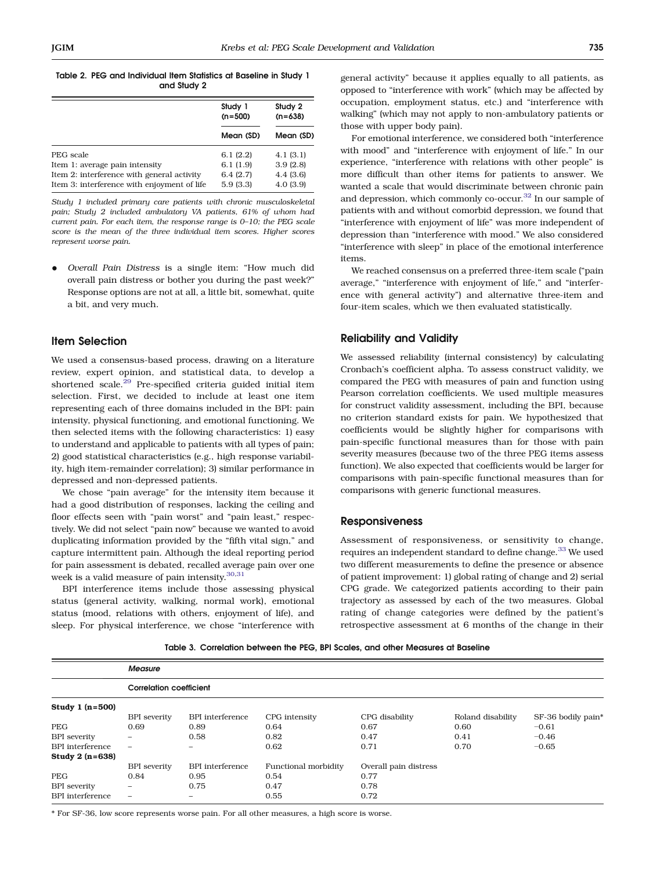#### <span id="page-2-0"></span>Table 2. PEG and Individual Item Statistics at Baseline in Study 1 and Study 2

|                                                                                           | Study 1<br>$(n=500)$ | Study 2<br>$(n=638)$ |  |
|-------------------------------------------------------------------------------------------|----------------------|----------------------|--|
|                                                                                           | Mean (SD)            | Mean (SD)            |  |
| PEG scale                                                                                 | 6.1(2.2)             | 4.1(3.1)             |  |
| Item 1: average pain intensity                                                            | 6.1(1.9)             | 3.9(2.8)             |  |
| Item 2: interference with general activity<br>Item 3: interference with enjoyment of life | 6.4(2.7)<br>5.9(3.3) | 4.4(3.6)<br>4.0(3.9) |  |

Study 1 included primary care patients with chronic musculoskeletal pain; Study 2 included ambulatory VA patients, 61% of whom had current pain. For each item, the response range is 0–10; the PEG scale score is the mean of the three individual item scores. Higher scores represent worse pain.

& Overall Pain Distress is a single item: "How much did overall pain distress or bother you during the past week?" Response options are not at all, a little bit, somewhat, quite a bit, and very much.

# Item Selection

We used a consensus-based process, drawing on a literature review, expert opinion, and statistical data, to develop a shortened scale.<sup>[29](#page-5-0)</sup> Pre-specified criteria guided initial item selection. First, we decided to include at least one item representing each of three domains included in the BPI: pain intensity, physical functioning, and emotional functioning. We then selected items with the following characteristics: 1) easy to understand and applicable to patients with all types of pain; 2) good statistical characteristics (e.g., high response variability, high item-remainder correlation); 3) similar performance in depressed and non-depressed patients.

We chose "pain average" for the intensity item because it had a good distribution of responses, lacking the ceiling and floor effects seen with "pain worst" and "pain least," respectively. We did not select "pain now" because we wanted to avoid duplicating information provided by the "fifth vital sign," and capture intermittent pain. Although the ideal reporting period for pain assessment is debated, recalled average pain over one week is a valid measure of pain intensity. $30,31$ 

BPI interference items include those assessing physical status (general activity, walking, normal work), emotional status (mood, relations with others, enjoyment of life), and sleep. For physical interference, we chose "interference with general activity" because it applies equally to all patients, as opposed to "interference with work" (which may be affected by occupation, employment status, etc.) and "interference with walking" (which may not apply to non-ambulatory patients or those with upper body pain).

For emotional interference, we considered both "interference with mood" and "interference with enjoyment of life." In our experience, "interference with relations with other people" is more difficult than other items for patients to answer. We wanted a scale that would discriminate between chronic pain and depression, which commonly co-occur.<sup>[32](#page-5-0)</sup> In our sample of patients with and without comorbid depression, we found that "interference with enjoyment of life" was more independent of depression than "interference with mood." We also considered "interference with sleep" in place of the emotional interference items.

We reached consensus on a preferred three-item scale ("pain average," "interference with enjoyment of life," and "interference with general activity") and alternative three-item and four-item scales, which we then evaluated statistically.

# Reliability and Validity

We assessed reliability (internal consistency) by calculating Cronbach's coefficient alpha. To assess construct validity, we compared the PEG with measures of pain and function using Pearson correlation coefficients. We used multiple measures for construct validity assessment, including the BPI, because no criterion standard exists for pain. We hypothesized that coefficients would be slightly higher for comparisons with pain-specific functional measures than for those with pain severity measures (because two of the three PEG items assess function). We also expected that coefficients would be larger for comparisons with pain-specific functional measures than for comparisons with generic functional measures.

#### Responsiveness

Assessment of responsiveness, or sensitivity to change, requires an independent standard to define change.  $^{33}$  $^{33}$  $^{33}$  We used two different measurements to define the presence or absence of patient improvement: 1) global rating of change and 2) serial CPG grade. We categorized patients according to their pain trajectory as assessed by each of the two measures. Global rating of change categories were defined by the patient's retrospective assessment at 6 months of the change in their

|  |  |  |  |  |  | Table 3. Correlation between the PEG, BPI Scales, and other Measures at Baseline |  |
|--|--|--|--|--|--|----------------------------------------------------------------------------------|--|
|--|--|--|--|--|--|----------------------------------------------------------------------------------|--|

|                         | <b>Measure</b>                 |                          |                      |                       |                   |                    |  |  |  |  |
|-------------------------|--------------------------------|--------------------------|----------------------|-----------------------|-------------------|--------------------|--|--|--|--|
|                         | <b>Correlation coefficient</b> |                          |                      |                       |                   |                    |  |  |  |  |
| Study 1 $(n=500)$       |                                |                          |                      |                       |                   |                    |  |  |  |  |
|                         | <b>BPI</b> severity            | BPI interference         | CPG intensity        | CPG disability        | Roland disability | SF-36 bodily pain* |  |  |  |  |
| <b>PEG</b>              | 0.69                           | 0.89                     | 0.64                 | 0.67                  | 0.60              | $-0.61$            |  |  |  |  |
| <b>BPI</b> severity     | $\overline{\phantom{0}}$       | 0.58                     | 0.82                 | 0.47                  | 0.41              | $-0.46$            |  |  |  |  |
| <b>BPI</b> interference | $\overline{\phantom{0}}$       | $\overline{\phantom{0}}$ | 0.62                 | 0.71                  | 0.70              | $-0.65$            |  |  |  |  |
| Study 2 $(n=638)$       |                                |                          |                      |                       |                   |                    |  |  |  |  |
|                         | <b>BPI</b> severity            | BPI interference         | Functional morbidity | Overall pain distress |                   |                    |  |  |  |  |
| <b>PEG</b>              | 0.84                           | 0.95                     | 0.54                 | 0.77                  |                   |                    |  |  |  |  |
| <b>BPI</b> severity     | $\qquad \qquad -$              | 0.75                     | 0.47                 | 0.78                  |                   |                    |  |  |  |  |
| <b>BPI</b> interference |                                |                          | 0.55                 | 0.72                  |                   |                    |  |  |  |  |

\* For SF-36, low score represents worse pain. For all other measures, a high score is worse.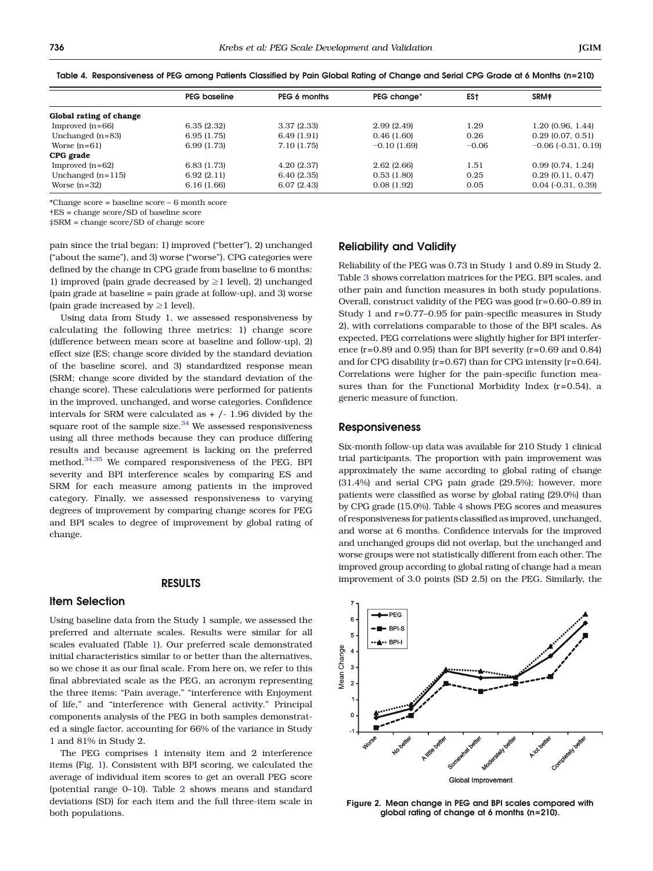|                         | <b>PEG</b> baseline | PEG 6 months | PEG change*   | ES†     | SRM#                         |
|-------------------------|---------------------|--------------|---------------|---------|------------------------------|
| Global rating of change |                     |              |               |         |                              |
| Improved $(n=66)$       | 6.35(2.32)          | 3.37(2.33)   | 2.99(2.49)    | 1.29    | 1.20 (0.96, 1.44)            |
| Unchanged $(n=83)$      | 6.95(1.75)          | 6.49(1.91)   | 0.46(1.60)    | 0.26    | $0.29$ (0.07, 0.51)          |
| Worse $(n=61)$          | 6.99(1.73)          | 7.10 (1.75)  | $-0.10(1.69)$ | $-0.06$ | $-0.06$ ( $-0.31$ , $0.19$ ) |
| CPG grade               |                     |              |               |         |                              |
| Improved $(n=62)$       | 6.83(1.73)          | 4.20(2.37)   | 2.62(2.66)    | 1.51    | 0.99(0.74, 1.24)             |
| Unchanged $(n=115)$     | 6.92(2.11)          | 6.40(2.35)   | 0.53(1.80)    | 0.25    | 0.29(0.11, 0.47)             |
| Worse $(n=32)$          | 6.16(1.66)          | 6.07(2.43)   | 0.08(1.92)    | 0.05    | $0.04$ ( $-0.31$ , $0.39$ )  |

<span id="page-3-0"></span>Table 4. Responsiveness of PEG among Patients Classified by Pain Global Rating of Change and Serial CPG Grade at 6 Months (n=210)

\*Change score = baseline score – 6 month score

†ES = change score/SD of baseline score

‡SRM = change score/SD of change score

pain since the trial began: 1) improved ("better"), 2) unchanged ("about the same"), and 3) worse ("worse"). CPG categories were defined by the change in CPG grade from baseline to 6 months: 1) improved (pain grade decreased by  $\geq 1$  level), 2) unchanged (pain grade at baseline = pain grade at follow-up), and 3) worse (pain grade increased by  $\geq 1$  level).

Using data from Study 1, we assessed responsiveness by calculating the following three metrics: 1) change score (difference between mean score at baseline and follow-up), 2) effect size (ES; change score divided by the standard deviation of the baseline score), and 3) standardized response mean (SRM; change score divided by the standard deviation of the change score). These calculations were performed for patients in the improved, unchanged, and worse categories. Confidence intervals for SRM were calculated as + /- 1.96 divided by the square root of the sample size. $34$  We assessed responsiveness using all three methods because they can produce differing results and because agreement is lacking on the preferred method.[34,35](#page-5-0) We compared responsiveness of the PEG, BPI severity and BPI interference scales by comparing ES and SRM for each measure among patients in the improved category. Finally, we assessed responsiveness to varying degrees of improvement by comparing change scores for PEG and BPI scales to degree of improvement by global rating of change.

## RESULTS

## Item Selection

Using baseline data from the Study 1 sample, we assessed the preferred and alternate scales. Results were similar for all scales evaluated (Table [1](#page-1-0)). Our preferred scale demonstrated initial characteristics similar to or better than the alternatives, so we chose it as our final scale. From here on, we refer to this final abbreviated scale as the PEG, an acronym representing the three items: "Pain average," "interference with Enjoyment of life," and "interference with General activity." Principal components analysis of the PEG in both samples demonstrated a single factor, accounting for 66% of the variance in Study 1 and 81% in Study 2.

The PEG comprises 1 intensity item and 2 interference items (Fig. [1\)](#page-1-0). Consistent with BPI scoring, we calculated the average of individual item scores to get an overall PEG score (potential range 0–10). Table [2](#page-2-0) shows means and standard deviations (SD) for each item and the full three-item scale in both populations.

# Reliability and Validity

Reliability of the PEG was 0.73 in Study 1 and 0.89 in Study 2. Table [3](#page-2-0) shows correlation matrices for the PEG, BPI scales, and other pain and function measures in both study populations. Overall, construct validity of the PEG was good (r=0.60–0.89 in Study 1 and r=0.77–0.95 for pain-specific measures in Study 2), with correlations comparable to those of the BPI scales. As expected, PEG correlations were slightly higher for BPI interference (r=0.89 and 0.95) than for BPI severity (r=0.69 and 0.84) and for CPG disability (r=0.67) than for CPG intensity (r=0.64). Correlations were higher for the pain-specific function measures than for the Functional Morbidity Index (r=0.54), a generic measure of function.

## Responsiveness

Six-month follow-up data was available for 210 Study 1 clinical trial participants. The proportion with pain improvement was approximately the same according to global rating of change (31.4%) and serial CPG pain grade (29.5%); however, more patients were classified as worse by global rating (29.0%) than by CPG grade (15.0%). Table 4 shows PEG scores and measures of responsiveness for patients classified as improved, unchanged, and worse at 6 months. Confidence intervals for the improved and unchanged groups did not overlap, but the unchanged and worse groups were not statistically different from each other. The improved group according to global rating of change had a mean improvement of 3.0 points (SD 2.5) on the PEG. Similarly, the



Figure 2. Mean change in PEG and BPI scales compared with global rating of change at 6 months (n=210).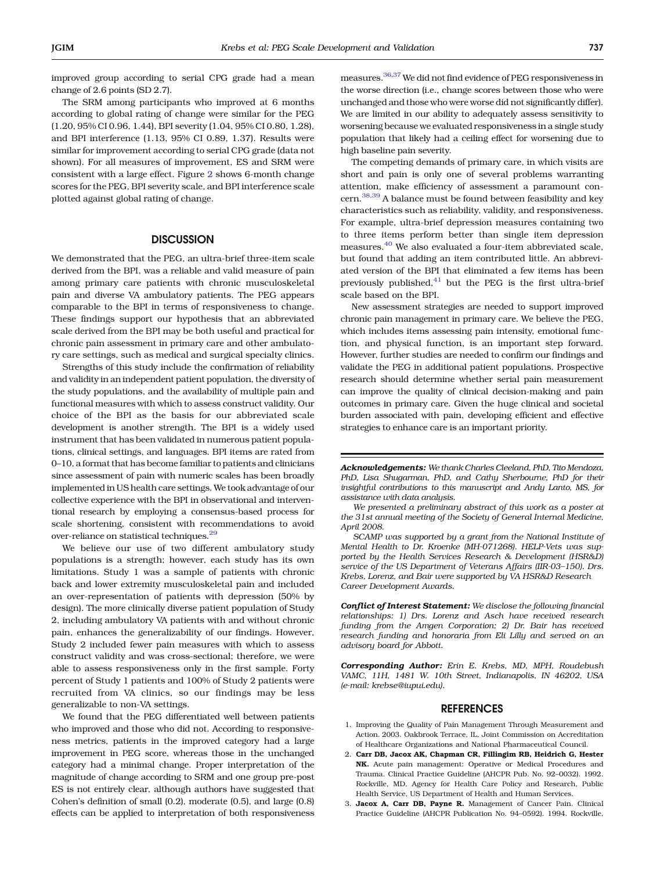<span id="page-4-0"></span>improved group according to serial CPG grade had a mean change of 2.6 points (SD 2.7).

The SRM among participants who improved at 6 months according to global rating of change were similar for the PEG (1.20, 95% CI 0.96, 1.44), BPI severity (1.04, 95% CI 0.80, 1.28), and BPI interference (1.13, 95% CI 0.89, 1.37). Results were similar for improvement according to serial CPG grade (data not shown). For all measures of improvement, ES and SRM were consistent with a large effect. Figure [2](#page-3-0) shows 6-month change scores for the PEG, BPI severity scale, and BPI interference scale plotted against global rating of change.

## **DISCUSSION**

We demonstrated that the PEG, an ultra-brief three-item scale derived from the BPI, was a reliable and valid measure of pain among primary care patients with chronic musculoskeletal pain and diverse VA ambulatory patients. The PEG appears comparable to the BPI in terms of responsiveness to change. These findings support our hypothesis that an abbreviated scale derived from the BPI may be both useful and practical for chronic pain assessment in primary care and other ambulatory care settings, such as medical and surgical specialty clinics.

Strengths of this study include the confirmation of reliability and validity in an independent patient population, the diversity of the study populations, and the availability of multiple pain and functional measures with which to assess construct validity. Our choice of the BPI as the basis for our abbreviated scale development is another strength. The BPI is a widely used instrument that has been validated in numerous patient populations, clinical settings, and languages. BPI items are rated from 0–10, a format that has become familiar to patients and clinicians since assessment of pain with numeric scales has been broadly implemented in US health care settings. We took advantage of our collective experience with the BPI in observational and interventional research by employing a consensus-based process for scale shortening, consistent with recommendations to avoid over-reliance on statistical techniques.<sup>29</sup>

We believe our use of two different ambulatory study populations is a strength; however, each study has its own limitations. Study 1 was a sample of patients with chronic back and lower extremity musculoskeletal pain and included an over-representation of patients with depression (50% by design). The more clinically diverse patient population of Study 2, including ambulatory VA patients with and without chronic pain, enhances the generalizability of our findings. However, Study 2 included fewer pain measures with which to assess construct validity and was cross-sectional; therefore, we were able to assess responsiveness only in the first sample. Forty percent of Study 1 patients and 100% of Study 2 patients were recruited from VA clinics, so our findings may be less generalizable to non-VA settings.

We found that the PEG differentiated well between patients who improved and those who did not. According to responsiveness metrics, patients in the improved category had a large improvement in PEG score, whereas those in the unchanged category had a minimal change. Proper interpretation of the magnitude of change according to SRM and one group pre-post ES is not entirely clear, although authors have suggested that Cohen's definition of small (0.2), moderate (0.5), and large (0.8) effects can be applied to interpretation of both responsiveness

measures.[36,37](#page-5-0) We did not find evidence of PEG responsiveness in the worse direction (i.e., change scores between those who were unchanged and those who were worse did not significantly differ). We are limited in our ability to adequately assess sensitivity to worsening because we evaluated responsiveness in a single study population that likely had a ceiling effect for worsening due to high baseline pain severity.

The competing demands of primary care, in which visits are short and pain is only one of several problems warranting attention, make efficiency of assessment a paramount concern.[38,39](#page-5-0) A balance must be found between feasibility and key characteristics such as reliability, validity, and responsiveness. For example, ultra-brief depression measures containing two to three items perform better than single item depression measures.[40](#page-5-0) We also evaluated a four-item abbreviated scale, but found that adding an item contributed little. An abbreviated version of the BPI that eliminated a few items has been previously published,  $41$  but the PEG is the first ultra-brief scale based on the BPI.

New assessment strategies are needed to support improved chronic pain management in primary care. We believe the PEG, which includes items assessing pain intensity, emotional function, and physical function, is an important step forward. However, further studies are needed to confirm our findings and validate the PEG in additional patient populations. Prospective research should determine whether serial pain measurement can improve the quality of clinical decision-making and pain outcomes in primary care. Given the huge clinical and societal burden associated with pain, developing efficient and effective strategies to enhance care is an important priority.

We presented a preliminary abstract of this work as a poster at the 31st annual meeting of the Society of General Internal Medicine, April 2008.

SCAMP was supported by a grant from the National Institute of Mental Health to Dr. Kroenke (MH-071268). HELP-Vets was supported by the Health Services Research & Development (HSR&D) service of the US Department of Veterans Affairs (IIR-03–150). Drs. Krebs, Lorenz, and Bair were supported by VA HSR&D Research Career Development Awards.

Conflict of Interest Statement: We disclose the following financial relationships: 1) Drs. Lorenz and Asch have received research funding from the Amgen Corporation; 2) Dr. Bair has received research funding and honoraria from Eli Lilly and served on an advisory board for Abbott.

Corresponding Author: Erin E. Krebs, MD, MPH, Roudebush VAMC, 11H, 1481 W. 10th Street, Indianapolis, IN 46202, USA (e-mail: krebse@iupui.edu).

## **REFERENCES**

- 1. Improving the Quality of Pain Management Through Measurement and Action. 2003. Oakbrook Terrace, IL, Joint Commission on Accreditation of Healthcare Organizations and National Pharmaceutical Council.
- 2. Carr DB, Jacox AK, Chapman CR, Fillingim RB, Heidrich G, Hester NK. Acute pain management: Operative or Medical Procedures and Trauma. Clinical Practice Guideline (AHCPR Pub. No. 92–0032). 1992. Rockville, MD, Agency for Health Care Policy and Research, Public Health Service, US Department of Health and Human Services.
- 3. Jacox A, Carr DB, Payne R. Management of Cancer Pain. Clinical Practice Guideline (AHCPR Publication No. 94–0592). 1994. Rockville,

Acknowledgements: We thank Charles Cleeland, PhD, Tito Mendoza, PhD, Lisa Shugarman, PhD, and Cathy Sherbourne, PhD for their insightful contributions to this manuscript and Andy Lanto, MS, for assistance with data analysis.